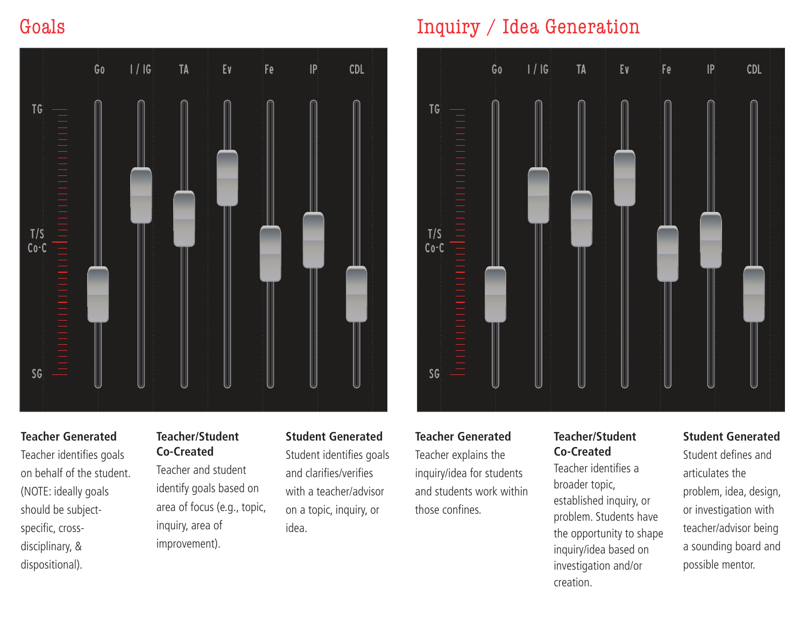# Goals



### **Teacher Generated**

Teacher identifies goals on behalf of the student. (NOTE: ideally goals should be subjectspecific, crossdisciplinary, & dispositional).

### **Teacher/Student Co-Created**

Teacher and student identify goals based on area of focus (e.g., topic, inquiry, area of improvement).

#### **Student Generated**

Student identifies goals and clarifies/verifies with a teacher/advisor on a topic, inquiry, or idea.

# Inquiry / Idea Generation



#### **Teacher Generated**

Teacher explains the inquiry/idea for students and students work within those confines.

### **Teacher/Student Co-Created**

Teacher identifies a broader topic, established inquiry, or problem. Students have the opportunity to shape inquiry/idea based on investigation and/or creation.

## **Student Generated**

Student defines and articulates the problem, idea, design, or investigation with teacher/advisor being a sounding board and possible mentor.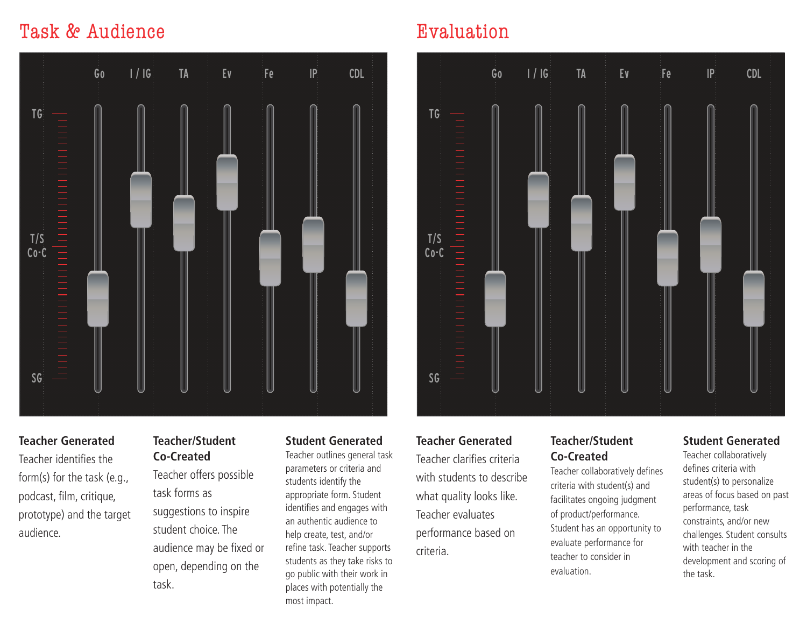# Task & Audience



## **Teacher Generated**

Teacher identifies the form(s) for the task (e.g., podcast, film, critique, prototype) and the target audience.

## **Teacher/Student Co-Created**

Teacher offers possible task forms as suggestions to inspire student choice. The audience may be fixed or open, depending on the task.

#### **Student Generated**

Teacher outlines general task parameters or criteria and students identify the appropriate form. Student identifies and engages with an authentic audience to help create, test, and/or refine task. Teacher supports students as they take risks to go public with their work in places with potentially the most impact.

# Evaluation



## **Teacher Generated**

Teacher clarifies criteria with students to describe what quality looks like. Teacher evaluates performance based on criteria.

#### **Teacher/Student Co-Created**

Teacher collaboratively defines criteria with student(s) and facilitates ongoing judgment of product/performance. Student has an opportunity to evaluate performance for teacher to consider in evaluation.

#### **Student Generated**

Teacher collaboratively defines criteria with student(s) to personalize areas of focus based on past performance, task constraints, and/or new challenges. Student consults with teacher in the development and scoring of the task.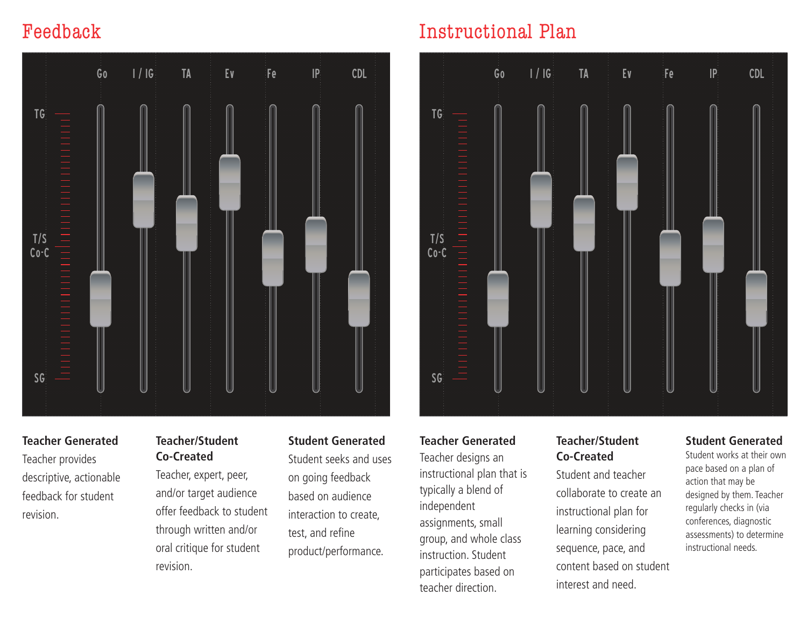# Feedback



## **Teacher Generated**

Teacher provides descriptive, actionable feedback for student revision.

## **Teacher/Student Co-Created**

Teacher, expert, peer, and/or target audience offer feedback to student through written and/or oral critique for student revision.

## **Student Generated**

Student seeks and uses on going feedback based on audience interaction to create, test, and refine product/performance.

# Instructional Plan



#### **Teacher Generated**

Teacher designs an instructional plan that is typically a blend of independent assignments, small group, and whole class instruction. Student participates based on teacher direction.

### **Teacher/Student Co-Created**

Student and teacher collaborate to create an instructional plan for learning considering sequence, pace, and content based on student interest and need.

## **Student Generated**

Student works at their own pace based on a plan of action that may be designed by them. Teacher regularly checks in (via conferences, diagnostic assessments) to determine instructional needs.